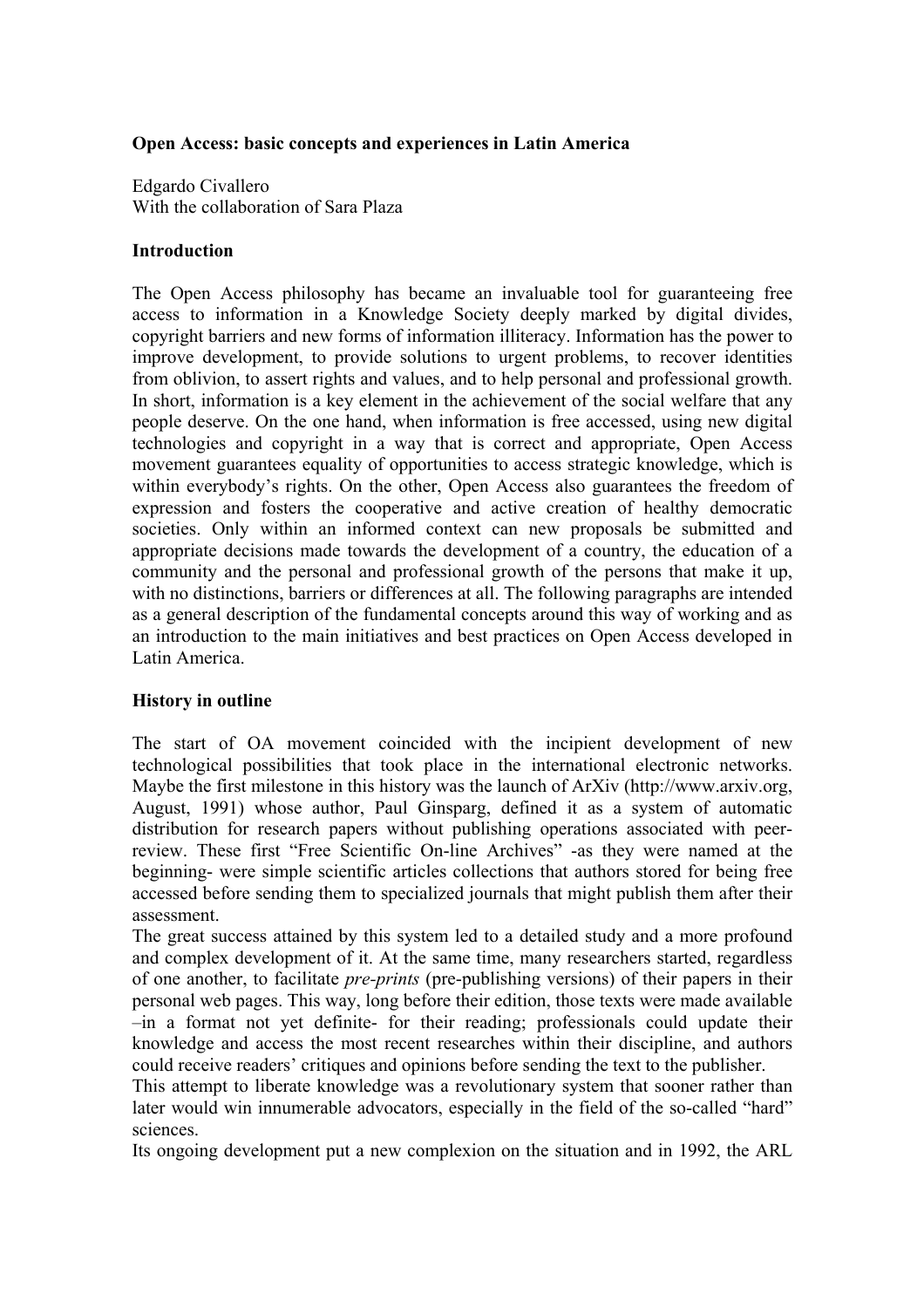## **Open Access: basic concepts and experiences in Latin America**

Edgardo Civallero With the collaboration of Sara Plaza

## **Introduction**

The Open Access philosophy has became an invaluable tool for guaranteeing free access to information in a Knowledge Society deeply marked by digital divides, copyright barriers and new forms of information illiteracy. Information has the power to improve development, to provide solutions to urgent problems, to recover identities from oblivion, to assert rights and values, and to help personal and professional growth. In short, information is a key element in the achievement of the social welfare that any people deserve. On the one hand, when information is free accessed, using new digital technologies and copyright in a way that is correct and appropriate, Open Access movement guarantees equality of opportunities to access strategic knowledge, which is within everybody's rights. On the other, Open Access also guarantees the freedom of expression and fosters the cooperative and active creation of healthy democratic societies. Only within an informed context can new proposals be submitted and appropriate decisions made towards the development of a country, the education of a community and the personal and professional growth of the persons that make it up, with no distinctions, barriers or differences at all. The following paragraphs are intended as a general description of the fundamental concepts around this way of working and as an introduction to the main initiatives and best practices on Open Access developed in Latin America.

# **History in outline**

The start of OA movement coincided with the incipient development of new technological possibilities that took place in the international electronic networks. Maybe the first milestone in this history was the launch of ArXiv (http://www.arxiv.org, August, 1991) whose author, Paul Ginsparg, defined it as a system of automatic distribution for research papers without publishing operations associated with peerreview. These first "Free Scientific On-line Archives" -as they were named at the beginning- were simple scientific articles collections that authors stored for being free accessed before sending them to specialized journals that might publish them after their assessment.

The great success attained by this system led to a detailed study and a more profound and complex development of it. At the same time, many researchers started, regardless of one another, to facilitate *pre-prints* (pre-publishing versions) of their papers in their personal web pages. This way, long before their edition, those texts were made available –in a format not yet definite- for their reading; professionals could update their knowledge and access the most recent researches within their discipline, and authors could receive readers' critiques and opinions before sending the text to the publisher.

This attempt to liberate knowledge was a revolutionary system that sooner rather than later would win innumerable advocators, especially in the field of the so-called "hard" sciences.

Its ongoing development put a new complexion on the situation and in 1992, the ARL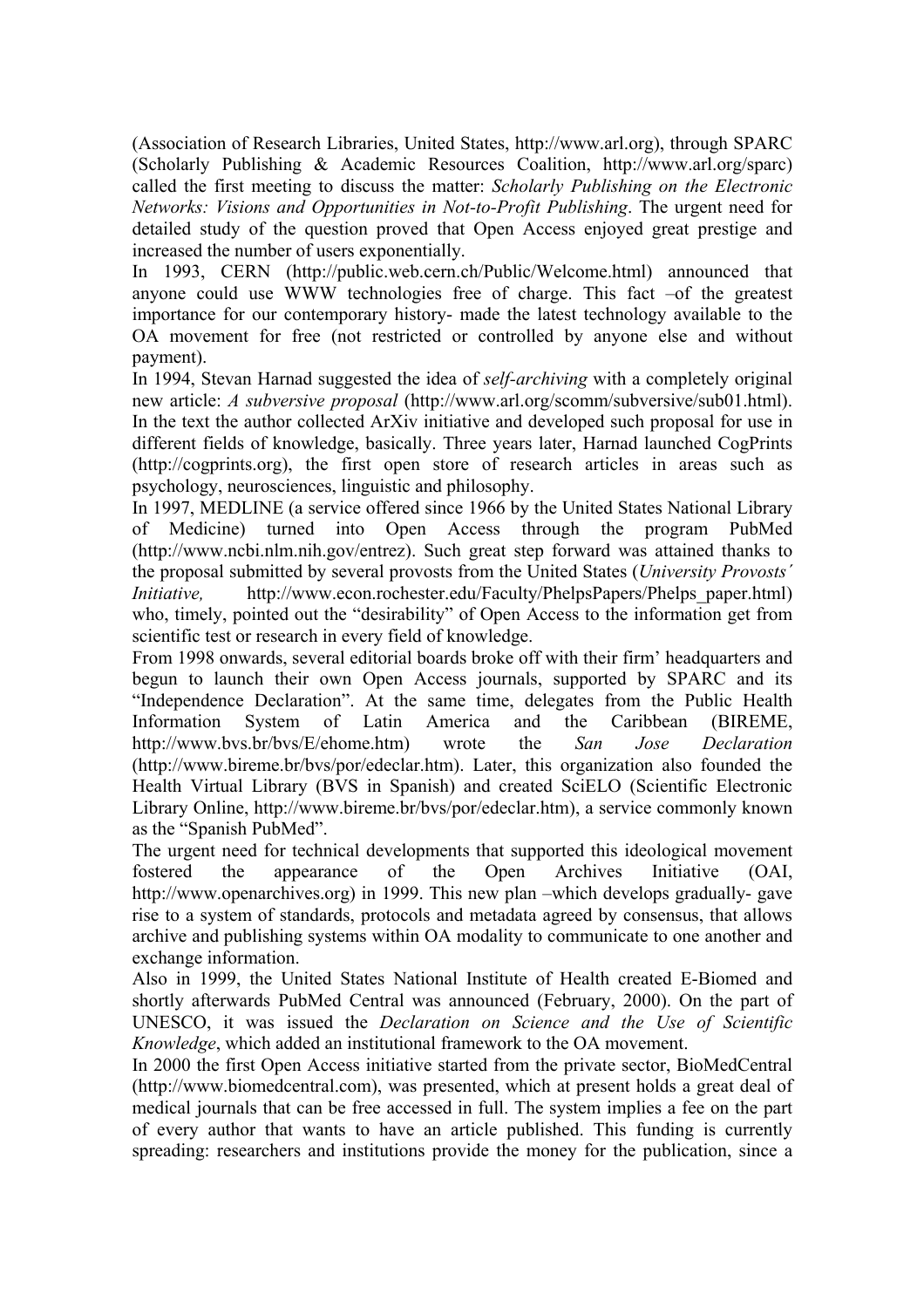(Association of Research Libraries, United States, http://www.arl.org), through SPARC (Scholarly Publishing & Academic Resources Coalition, http://www.arl.org/sparc) called the first meeting to discuss the matter: *Scholarly Publishing on the Electronic Networks: Visions and Opportunities in Not-to-Profit Publishing*. The urgent need for detailed study of the question proved that Open Access enjoyed great prestige and increased the number of users exponentially.

In 1993, CERN (http://public.web.cern.ch/Public/Welcome.html) announced that anyone could use WWW technologies free of charge. This fact –of the greatest importance for our contemporary history- made the latest technology available to the OA movement for free (not restricted or controlled by anyone else and without payment).

In 1994, Stevan Harnad suggested the idea of *self-archiving* with a completely original new article: *A subversive proposal* (http://www.arl.org/scomm/subversive/sub01.html). In the text the author collected ArXiv initiative and developed such proposal for use in different fields of knowledge, basically. Three years later, Harnad launched CogPrints (http://cogprints.org), the first open store of research articles in areas such as psychology, neurosciences, linguistic and philosophy.

In 1997, MEDLINE (a service offered since 1966 by the United States National Library of Medicine) turned into Open Access through the program PubMed (http://www.ncbi.nlm.nih.gov/entrez). Such great step forward was attained thanks to the proposal submitted by several provosts from the United States (*University Provosts´ Initiative*, http://www.econ.rochester.edu/Faculty/PhelpsPapers/Phelps paper.html) who, timely, pointed out the "desirability" of Open Access to the information get from scientific test or research in every field of knowledge.

From 1998 onwards, several editorial boards broke off with their firm' headquarters and begun to launch their own Open Access journals, supported by SPARC and its "Independence Declaration". At the same time, delegates from the Public Health Information System of Latin America and the Caribbean (BIREME, http://www.bvs.br/bvs/E/ehome.htm) wrote the *San Jose Declaration* (http://www.bireme.br/bvs/por/edeclar.htm). Later, this organization also founded the Health Virtual Library (BVS in Spanish) and created SciELO (Scientific Electronic Library Online, http://www.bireme.br/bvs/por/edeclar.htm), a service commonly known as the "Spanish PubMed".

The urgent need for technical developments that supported this ideological movement fostered the appearance of the Open Archives Initiative (OAI, http://www.openarchives.org) in 1999. This new plan –which develops gradually- gave rise to a system of standards, protocols and metadata agreed by consensus, that allows archive and publishing systems within OA modality to communicate to one another and exchange information.

Also in 1999, the United States National Institute of Health created E-Biomed and shortly afterwards PubMed Central was announced (February, 2000). On the part of UNESCO, it was issued the *Declaration on Science and the Use of Scientific Knowledge*, which added an institutional framework to the OA movement.

In 2000 the first Open Access initiative started from the private sector, BioMedCentral (http://www.biomedcentral.com), was presented, which at present holds a great deal of medical journals that can be free accessed in full. The system implies a fee on the part of every author that wants to have an article published. This funding is currently spreading: researchers and institutions provide the money for the publication, since a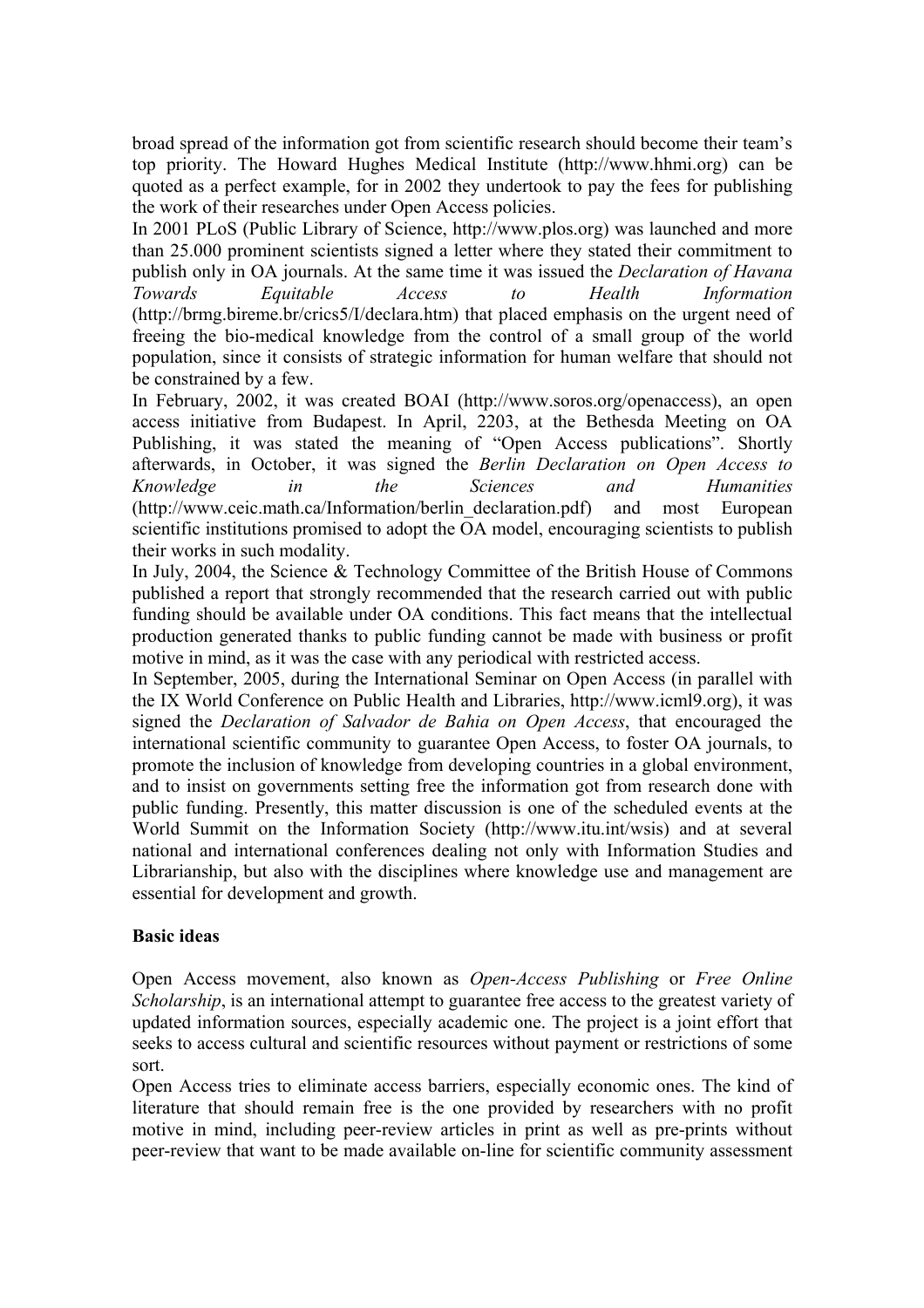broad spread of the information got from scientific research should become their team's top priority. The Howard Hughes Medical Institute (http://www.hhmi.org) can be quoted as a perfect example, for in 2002 they undertook to pay the fees for publishing the work of their researches under Open Access policies.

In 2001 PLoS (Public Library of Science, http://www.plos.org) was launched and more than 25.000 prominent scientists signed a letter where they stated their commitment to publish only in OA journals. At the same time it was issued the *Declaration of Havana Towards Equitable Access to Health Information* (http://brmg.bireme.br/crics5/I/declara.htm) that placed emphasis on the urgent need of freeing the bio-medical knowledge from the control of a small group of the world population, since it consists of strategic information for human welfare that should not be constrained by a few.

In February, 2002, it was created BOAI (http://www.soros.org/openaccess), an open access initiative from Budapest. In April, 2203, at the Bethesda Meeting on OA Publishing, it was stated the meaning of "Open Access publications". Shortly afterwards, in October, it was signed the *Berlin Declaration on Open Access to Knowledge in the Sciences and Humanities* (http://www.ceic.math.ca/Information/berlin\_declaration.pdf) and most European scientific institutions promised to adopt the OA model, encouraging scientists to publish their works in such modality.

In July, 2004, the Science & Technology Committee of the British House of Commons published a report that strongly recommended that the research carried out with public funding should be available under OA conditions. This fact means that the intellectual production generated thanks to public funding cannot be made with business or profit motive in mind, as it was the case with any periodical with restricted access.

In September, 2005, during the International Seminar on Open Access (in parallel with the IX World Conference on Public Health and Libraries, http://www.icml9.org), it was signed the *Declaration of Salvador de Bahia on Open Access*, that encouraged the international scientific community to guarantee Open Access, to foster OA journals, to promote the inclusion of knowledge from developing countries in a global environment, and to insist on governments setting free the information got from research done with public funding. Presently, this matter discussion is one of the scheduled events at the World Summit on the Information Society (http://www.itu.int/wsis) and at several national and international conferences dealing not only with Information Studies and Librarianship, but also with the disciplines where knowledge use and management are essential for development and growth.

#### **Basic ideas**

Open Access movement, also known as *Open-Access Publishing* or *Free Online Scholarship*, is an international attempt to guarantee free access to the greatest variety of updated information sources, especially academic one. The project is a joint effort that seeks to access cultural and scientific resources without payment or restrictions of some sort.

Open Access tries to eliminate access barriers, especially economic ones. The kind of literature that should remain free is the one provided by researchers with no profit motive in mind, including peer-review articles in print as well as pre-prints without peer-review that want to be made available on-line for scientific community assessment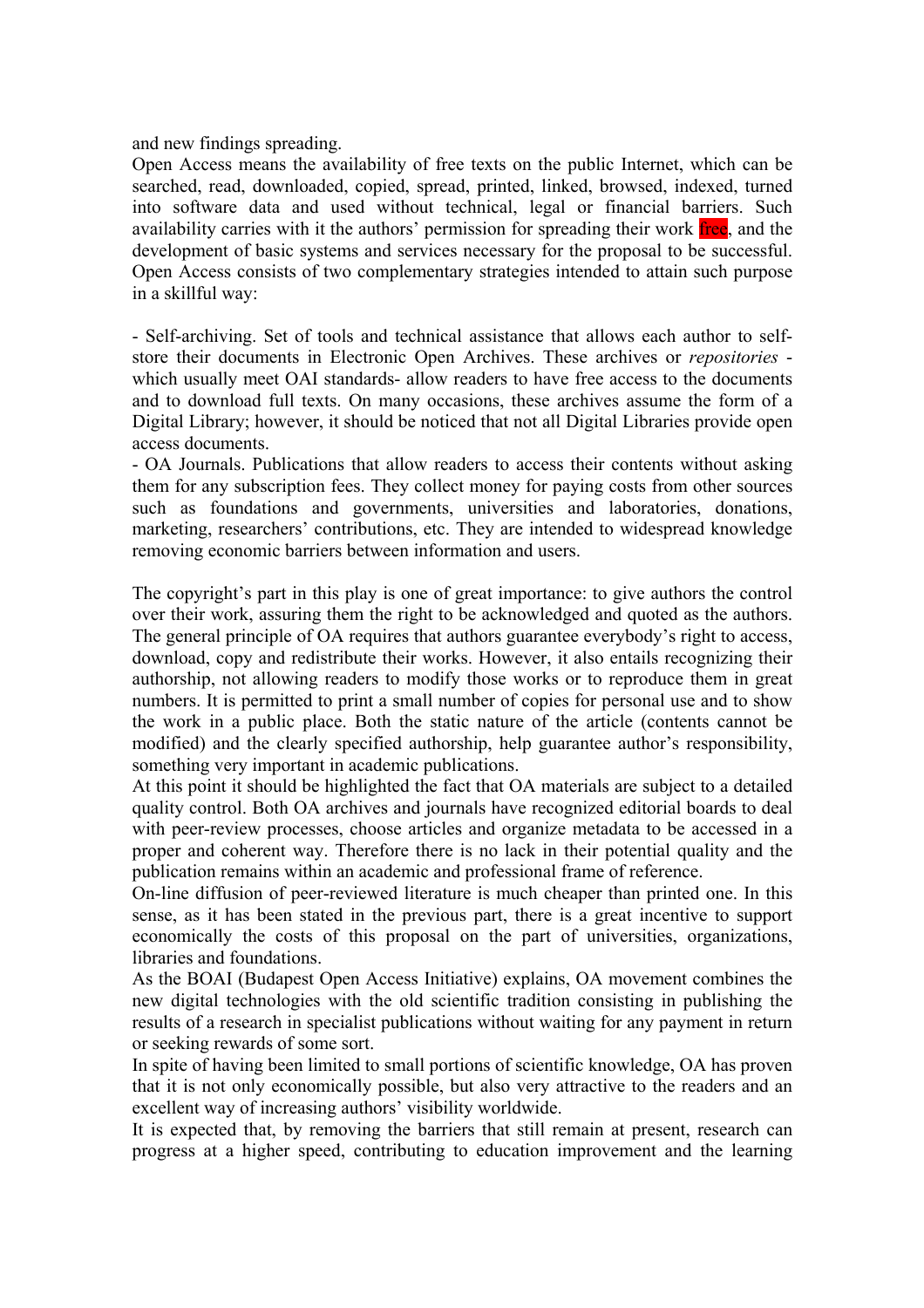and new findings spreading.

Open Access means the availability of free texts on the public Internet, which can be searched, read, downloaded, copied, spread, printed, linked, browsed, indexed, turned into software data and used without technical, legal or financial barriers. Such availability carries with it the authors' permission for spreading their work free, and the development of basic systems and services necessary for the proposal to be successful. Open Access consists of two complementary strategies intended to attain such purpose in a skillful way:

- Self-archiving. Set of tools and technical assistance that allows each author to selfstore their documents in Electronic Open Archives. These archives or *repositories* which usually meet OAI standards- allow readers to have free access to the documents and to download full texts. On many occasions, these archives assume the form of a Digital Library; however, it should be noticed that not all Digital Libraries provide open access documents.

- OA Journals. Publications that allow readers to access their contents without asking them for any subscription fees. They collect money for paying costs from other sources such as foundations and governments, universities and laboratories, donations, marketing, researchers' contributions, etc. They are intended to widespread knowledge removing economic barriers between information and users.

The copyright's part in this play is one of great importance: to give authors the control over their work, assuring them the right to be acknowledged and quoted as the authors. The general principle of OA requires that authors guarantee everybody's right to access, download, copy and redistribute their works. However, it also entails recognizing their authorship, not allowing readers to modify those works or to reproduce them in great numbers. It is permitted to print a small number of copies for personal use and to show the work in a public place. Both the static nature of the article (contents cannot be modified) and the clearly specified authorship, help guarantee author's responsibility, something very important in academic publications.

At this point it should be highlighted the fact that OA materials are subject to a detailed quality control. Both OA archives and journals have recognized editorial boards to deal with peer-review processes, choose articles and organize metadata to be accessed in a proper and coherent way. Therefore there is no lack in their potential quality and the publication remains within an academic and professional frame of reference.

On-line diffusion of peer-reviewed literature is much cheaper than printed one. In this sense, as it has been stated in the previous part, there is a great incentive to support economically the costs of this proposal on the part of universities, organizations, libraries and foundations.

As the BOAI (Budapest Open Access Initiative) explains, OA movement combines the new digital technologies with the old scientific tradition consisting in publishing the results of a research in specialist publications without waiting for any payment in return or seeking rewards of some sort.

In spite of having been limited to small portions of scientific knowledge, OA has proven that it is not only economically possible, but also very attractive to the readers and an excellent way of increasing authors' visibility worldwide.

It is expected that, by removing the barriers that still remain at present, research can progress at a higher speed, contributing to education improvement and the learning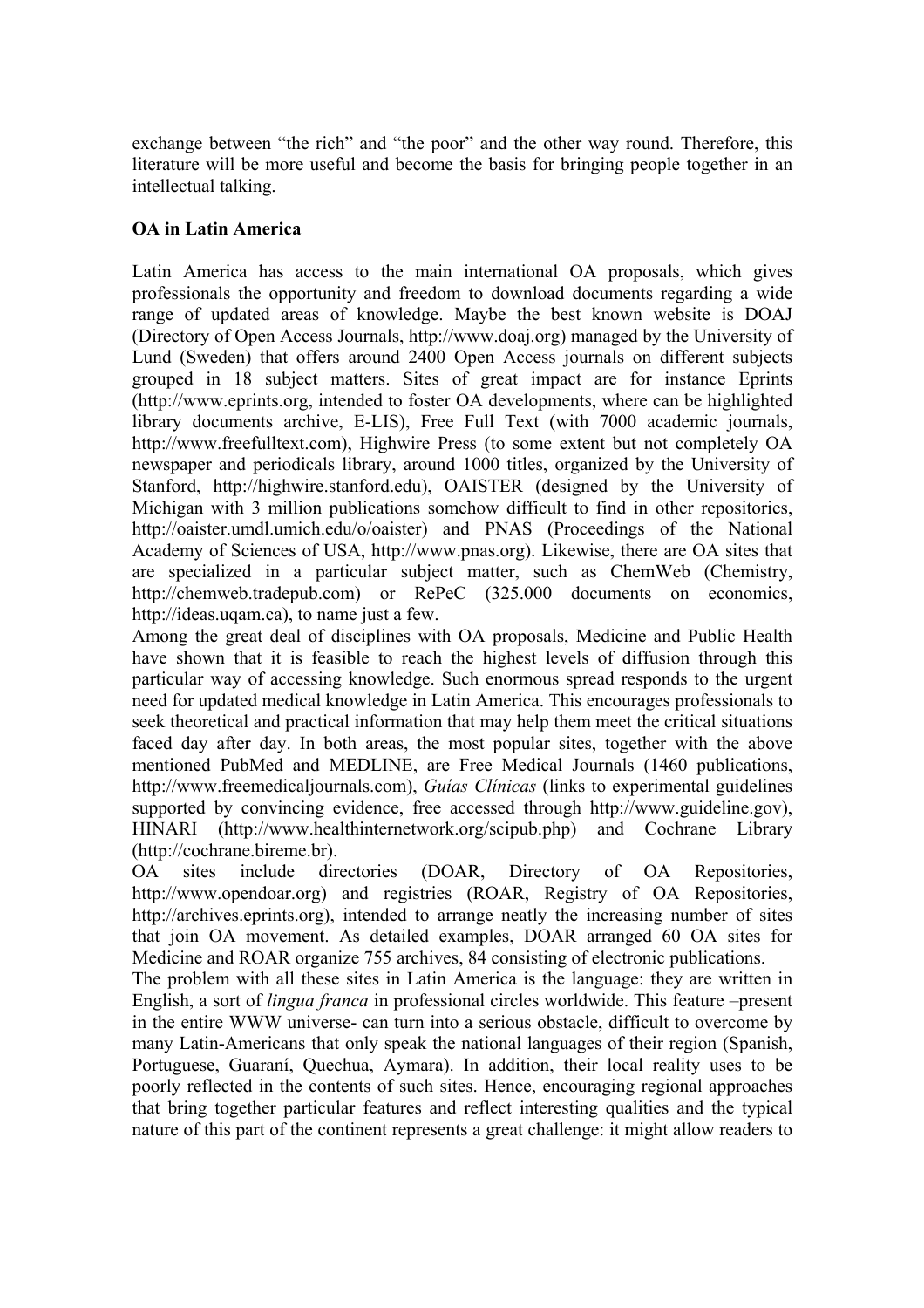exchange between "the rich" and "the poor" and the other way round. Therefore, this literature will be more useful and become the basis for bringing people together in an intellectual talking.

## **OA in Latin America**

Latin America has access to the main international OA proposals, which gives professionals the opportunity and freedom to download documents regarding a wide range of updated areas of knowledge. Maybe the best known website is DOAJ (Directory of Open Access Journals, http://www.doaj.org) managed by the University of Lund (Sweden) that offers around 2400 Open Access journals on different subjects grouped in 18 subject matters. Sites of great impact are for instance Eprints (http://www.eprints.org, intended to foster OA developments, where can be highlighted library documents archive, E-LIS), Free Full Text (with 7000 academic journals, http://www.freefulltext.com), Highwire Press (to some extent but not completely OA newspaper and periodicals library, around 1000 titles, organized by the University of Stanford, http://highwire.stanford.edu), OAISTER (designed by the University of Michigan with 3 million publications somehow difficult to find in other repositories, http://oaister.umdl.umich.edu/o/oaister) and PNAS (Proceedings of the National Academy of Sciences of USA, http://www.pnas.org). Likewise, there are OA sites that are specialized in a particular subject matter, such as ChemWeb (Chemistry, http://chemweb.tradepub.com) or RePeC (325.000 documents on economics, http://ideas.uqam.ca), to name just a few.

Among the great deal of disciplines with OA proposals, Medicine and Public Health have shown that it is feasible to reach the highest levels of diffusion through this particular way of accessing knowledge. Such enormous spread responds to the urgent need for updated medical knowledge in Latin America. This encourages professionals to seek theoretical and practical information that may help them meet the critical situations faced day after day. In both areas, the most popular sites, together with the above mentioned PubMed and MEDLINE, are Free Medical Journals (1460 publications, http://www.freemedicaljournals.com), *Guías Clínicas* (links to experimental guidelines supported by convincing evidence, free accessed through http://www.guideline.gov), HINARI (http://www.healthinternetwork.org/scipub.php) and Cochrane Library (http://cochrane.bireme.br).

OA sites include directories (DOAR, Directory of OA Repositories, http://www.opendoar.org) and registries (ROAR, Registry of OA Repositories, http://archives.eprints.org), intended to arrange neatly the increasing number of sites that join OA movement. As detailed examples, DOAR arranged 60 OA sites for Medicine and ROAR organize 755 archives, 84 consisting of electronic publications.

The problem with all these sites in Latin America is the language: they are written in English, a sort of *lingua franca* in professional circles worldwide. This feature –present in the entire WWW universe- can turn into a serious obstacle, difficult to overcome by many Latin-Americans that only speak the national languages of their region (Spanish, Portuguese, Guaraní, Quechua, Aymara). In addition, their local reality uses to be poorly reflected in the contents of such sites. Hence, encouraging regional approaches that bring together particular features and reflect interesting qualities and the typical nature of this part of the continent represents a great challenge: it might allow readers to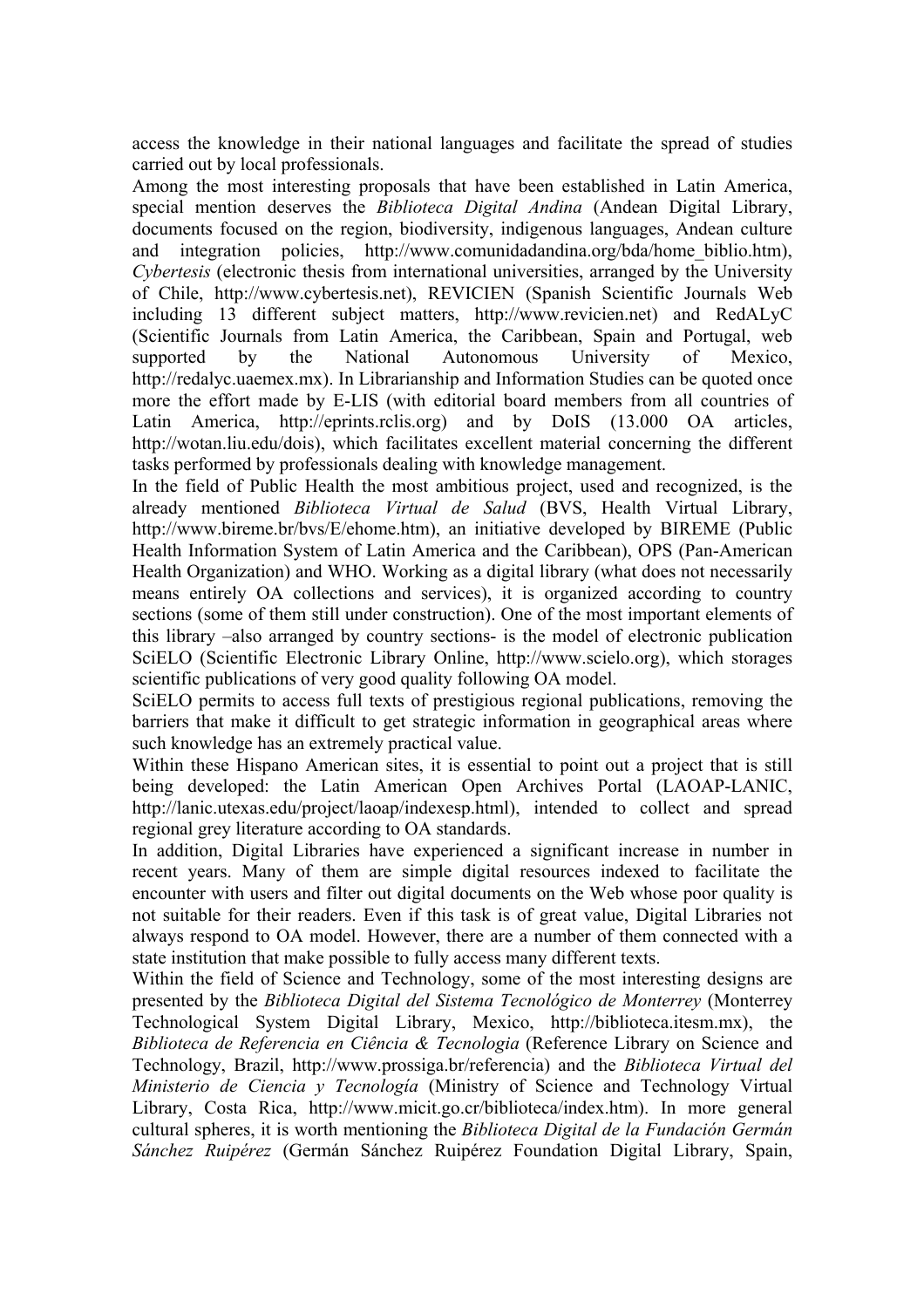access the knowledge in their national languages and facilitate the spread of studies carried out by local professionals.

Among the most interesting proposals that have been established in Latin America, special mention deserves the *Biblioteca Digital Andina* (Andean Digital Library, documents focused on the region, biodiversity, indigenous languages, Andean culture and integration policies, http://www.comunidadandina.org/bda/home\_biblio.htm), *Cybertesis* (electronic thesis from international universities, arranged by the University of Chile, http://www.cybertesis.net), REVICIEN (Spanish Scientific Journals Web including 13 different subject matters, http://www.revicien.net) and RedALyC (Scientific Journals from Latin America, the Caribbean, Spain and Portugal, web supported by the National Autonomous University of Mexico, http://redalyc.uaemex.mx). In Librarianship and Information Studies can be quoted once more the effort made by E-LIS (with editorial board members from all countries of Latin America, http://eprints.rclis.org) and by DoIS (13.000 OA articles, http://wotan.liu.edu/dois), which facilitates excellent material concerning the different tasks performed by professionals dealing with knowledge management.

In the field of Public Health the most ambitious project, used and recognized, is the already mentioned *Biblioteca Virtual de Salud* (BVS, Health Virtual Library, http://www.bireme.br/bvs/E/ehome.htm), an initiative developed by BIREME (Public Health Information System of Latin America and the Caribbean), OPS (Pan-American Health Organization) and WHO. Working as a digital library (what does not necessarily means entirely OA collections and services), it is organized according to country sections (some of them still under construction). One of the most important elements of this library –also arranged by country sections- is the model of electronic publication SciELO (Scientific Electronic Library Online, http://www.scielo.org), which storages scientific publications of very good quality following OA model.

SciELO permits to access full texts of prestigious regional publications, removing the barriers that make it difficult to get strategic information in geographical areas where such knowledge has an extremely practical value.

Within these Hispano American sites, it is essential to point out a project that is still being developed: the Latin American Open Archives Portal (LAOAP-LANIC, http://lanic.utexas.edu/project/laoap/indexesp.html), intended to collect and spread regional grey literature according to OA standards.

In addition, Digital Libraries have experienced a significant increase in number in recent years. Many of them are simple digital resources indexed to facilitate the encounter with users and filter out digital documents on the Web whose poor quality is not suitable for their readers. Even if this task is of great value, Digital Libraries not always respond to OA model. However, there are a number of them connected with a state institution that make possible to fully access many different texts.

Within the field of Science and Technology, some of the most interesting designs are presented by the *Biblioteca Digital del Sistema Tecnológico de Monterrey* (Monterrey Technological System Digital Library, Mexico, http://biblioteca.itesm.mx), the *Biblioteca de Referencia en Ciência & Tecnologia* (Reference Library on Science and Technology, Brazil, http://www.prossiga.br/referencia) and the *Biblioteca Virtual del Ministerio de Ciencia y Tecnología* (Ministry of Science and Technology Virtual Library, Costa Rica, http://www.micit.go.cr/biblioteca/index.htm). In more general cultural spheres, it is worth mentioning the *Biblioteca Digital de la Fundación Germán Sánchez Ruipérez* (Germán Sánchez Ruipérez Foundation Digital Library, Spain,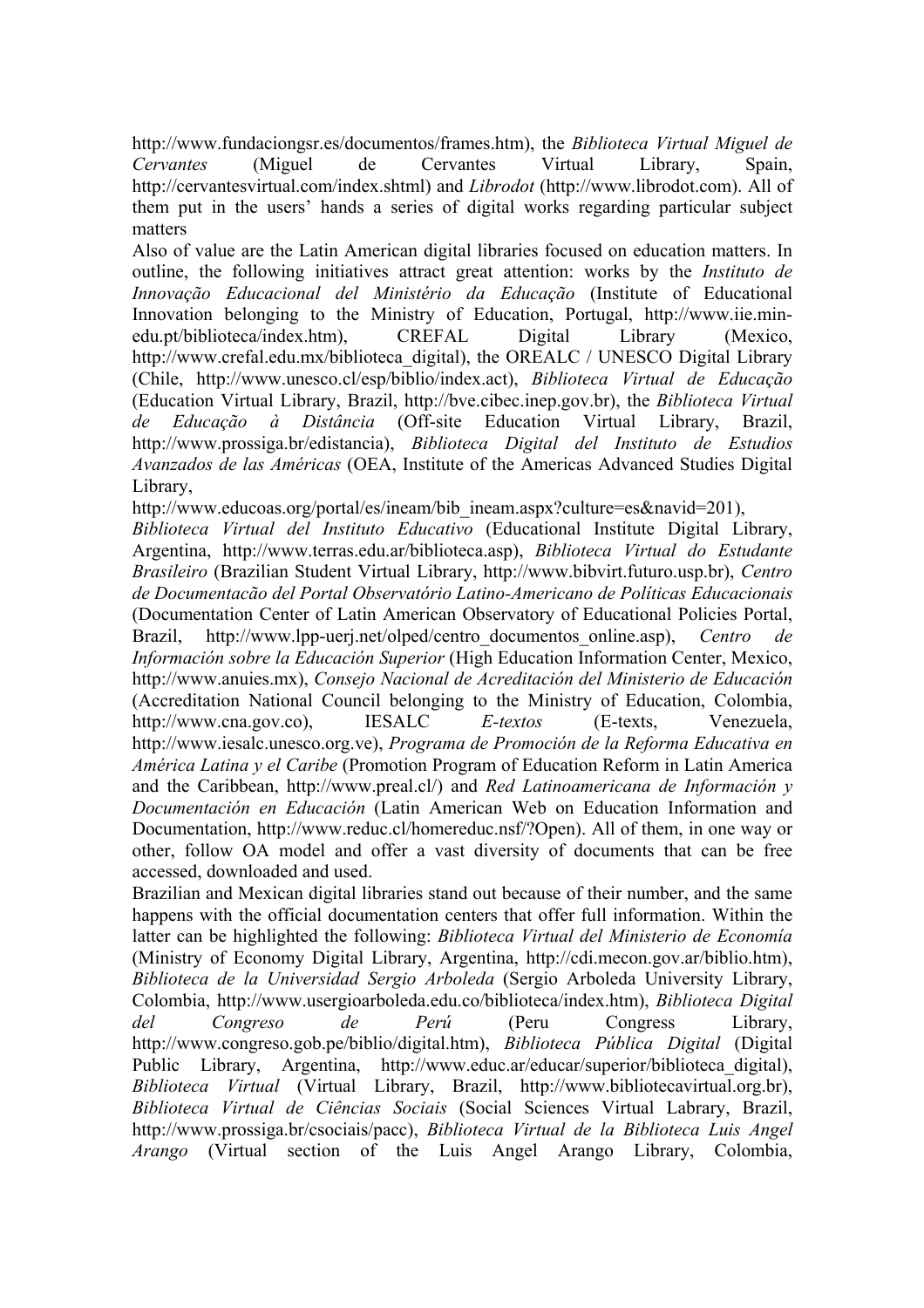http://www.fundaciongsr.es/documentos/frames.htm), the *Biblioteca Virtual Miguel de Cervantes* (Miguel de Cervantes Virtual Library, Spain, http://cervantesvirtual.com/index.shtml) and *Librodot* (http://www.librodot.com). All of them put in the users' hands a series of digital works regarding particular subject matters

Also of value are the Latin American digital libraries focused on education matters. In outline, the following initiatives attract great attention: works by the *Instituto de Innovação Educacional del Ministério da Educação* (Institute of Educational Innovation belonging to the Ministry of Education, Portugal, http://www.iie.minedu.pt/biblioteca/index.htm), CREFAL Digital Library (Mexico, http://www.crefal.edu.mx/biblioteca\_digital), the OREALC / UNESCO Digital Library (Chile, http://www.unesco.cl/esp/biblio/index.act), *Biblioteca Virtual de Educação* (Education Virtual Library, Brazil, http://bve.cibec.inep.gov.br), the *Biblioteca Virtual de Educação à Distância* (Off-site Education Virtual Library, Brazil, http://www.prossiga.br/edistancia), *Biblioteca Digital del Instituto de Estudios Avanzados de las Américas* (OEA, Institute of the Americas Advanced Studies Digital Library,

http://www.educoas.org/portal/es/ineam/bib\_ineam.aspx?culture=es&navid=201),

*Biblioteca Virtual del Instituto Educativo* (Educational Institute Digital Library, Argentina, http://www.terras.edu.ar/biblioteca.asp), *Biblioteca Virtual do Estudante Brasileiro* (Brazilian Student Virtual Library, http://www.bibvirt.futuro.usp.br), *Centro de Documentacão del Portal Observatório Latino-Americano de Políticas Educacionais* (Documentation Center of Latin American Observatory of Educational Policies Portal, Brazil, http://www.lpp-uerj.net/olped/centro\_documentos\_online.asp), *Centro de Información sobre la Educación Superior* (High Education Information Center, Mexico, http://www.anuies.mx), *Consejo Nacional de Acreditación del Ministerio de Educación* (Accreditation National Council belonging to the Ministry of Education, Colombia, http://www.cna.gov.co), IESALC *E-textos* (E-texts, Venezuela, http://www.iesalc.unesco.org.ve), *Programa de Promoción de la Reforma Educativa en América Latina y el Caribe* (Promotion Program of Education Reform in Latin America and the Caribbean, http://www.preal.cl/) and *Red Latinoamericana de Información y Documentación en Educación* (Latin American Web on Education Information and Documentation, http://www.reduc.cl/homereduc.nsf/?Open). All of them, in one way or other, follow OA model and offer a vast diversity of documents that can be free accessed, downloaded and used.

Brazilian and Mexican digital libraries stand out because of their number, and the same happens with the official documentation centers that offer full information. Within the latter can be highlighted the following: *Biblioteca Virtual del Ministerio de Economía* (Ministry of Economy Digital Library, Argentina, http://cdi.mecon.gov.ar/biblio.htm), *Biblioteca de la Universidad Sergio Arboleda* (Sergio Arboleda University Library, Colombia, http://www.usergioarboleda.edu.co/biblioteca/index.htm), *Biblioteca Digital del Congreso de Perú* (Peru Congress Library, http://www.congreso.gob.pe/biblio/digital.htm), *Biblioteca Pública Digital* (Digital Public Library, Argentina, http://www.educ.ar/educar/superior/biblioteca digital), *Biblioteca Virtual* (Virtual Library, Brazil, http://www.bibliotecavirtual.org.br), *Biblioteca Virtual de Ciências Sociais* (Social Sciences Virtual Labrary, Brazil, http://www.prossiga.br/csociais/pacc), *Biblioteca Virtual de la Biblioteca Luis Angel Arango* (Virtual section of the Luis Angel Arango Library, Colombia,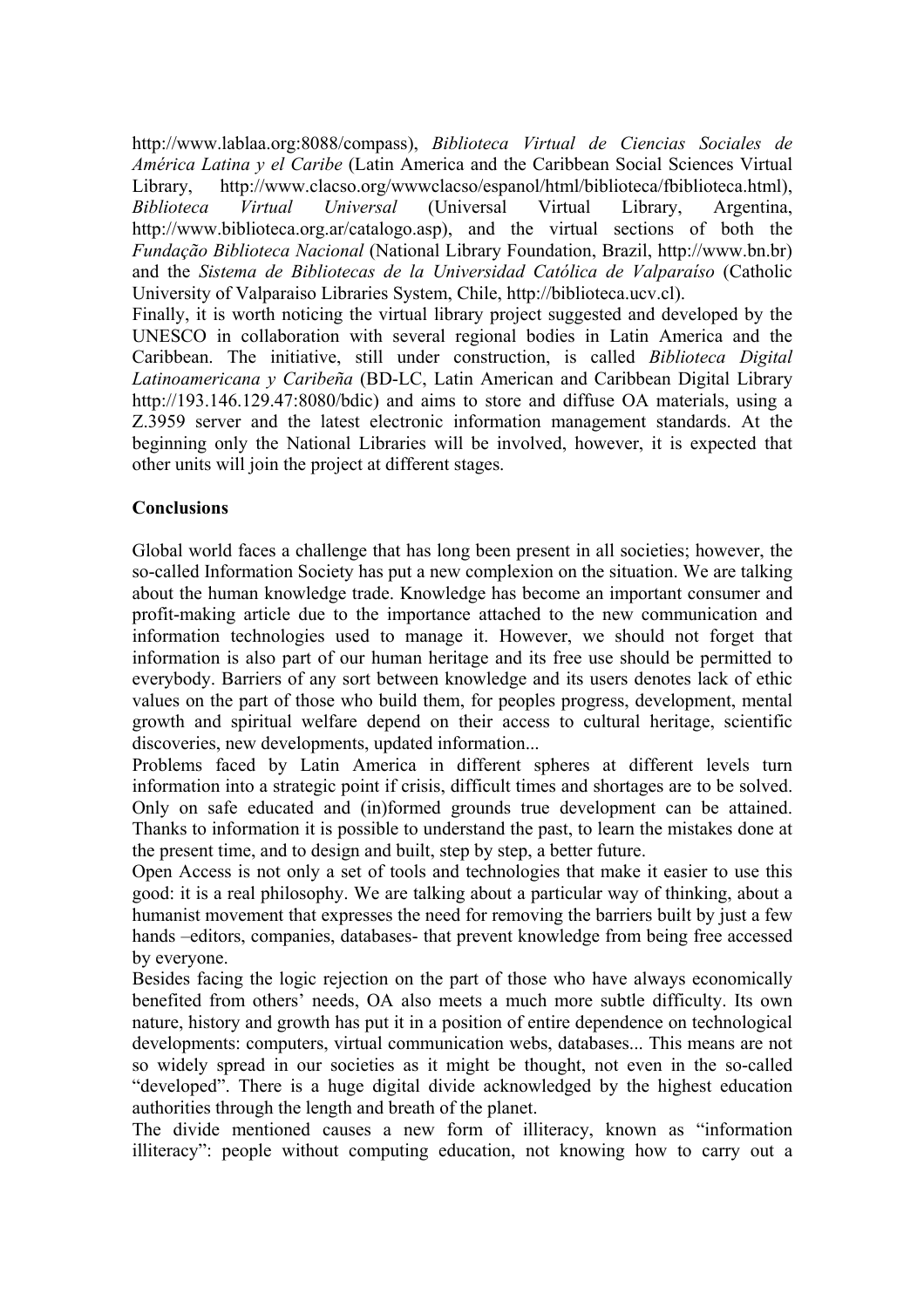http://www.lablaa.org:8088/compass), *Biblioteca Virtual de Ciencias Sociales de América Latina y el Caribe* (Latin America and the Caribbean Social Sciences Virtual Library, http://www.clacso.org/wwwclacso/espanol/html/biblioteca/fbiblioteca.html), *Biblioteca Virtual Universal* (Universal Virtual Library, Argentina, http://www.biblioteca.org.ar/catalogo.asp), and the virtual sections of both the *Fundação Biblioteca Nacional* (National Library Foundation, Brazil, http://www.bn.br) and the *Sistema de Bibliotecas de la Universidad Católica de Valparaíso* (Catholic University of Valparaiso Libraries System, Chile, http://biblioteca.ucv.cl).

Finally, it is worth noticing the virtual library project suggested and developed by the UNESCO in collaboration with several regional bodies in Latin America and the Caribbean. The initiative, still under construction, is called *Biblioteca Digital Latinoamericana y Caribeña* (BD-LC, Latin American and Caribbean Digital Library http://193.146.129.47:8080/bdic) and aims to store and diffuse OA materials, using a Z.3959 server and the latest electronic information management standards. At the beginning only the National Libraries will be involved, however, it is expected that other units will join the project at different stages.

# **Conclusions**

Global world faces a challenge that has long been present in all societies; however, the so-called Information Society has put a new complexion on the situation. We are talking about the human knowledge trade. Knowledge has become an important consumer and profit-making article due to the importance attached to the new communication and information technologies used to manage it. However, we should not forget that information is also part of our human heritage and its free use should be permitted to everybody. Barriers of any sort between knowledge and its users denotes lack of ethic values on the part of those who build them, for peoples progress, development, mental growth and spiritual welfare depend on their access to cultural heritage, scientific discoveries, new developments, updated information...

Problems faced by Latin America in different spheres at different levels turn information into a strategic point if crisis, difficult times and shortages are to be solved. Only on safe educated and (in)formed grounds true development can be attained. Thanks to information it is possible to understand the past, to learn the mistakes done at the present time, and to design and built, step by step, a better future.

Open Access is not only a set of tools and technologies that make it easier to use this good: it is a real philosophy. We are talking about a particular way of thinking, about a humanist movement that expresses the need for removing the barriers built by just a few hands –editors, companies, databases- that prevent knowledge from being free accessed by everyone.

Besides facing the logic rejection on the part of those who have always economically benefited from others' needs, OA also meets a much more subtle difficulty. Its own nature, history and growth has put it in a position of entire dependence on technological developments: computers, virtual communication webs, databases... This means are not so widely spread in our societies as it might be thought, not even in the so-called "developed". There is a huge digital divide acknowledged by the highest education authorities through the length and breath of the planet.

The divide mentioned causes a new form of illiteracy, known as "information illiteracy": people without computing education, not knowing how to carry out a